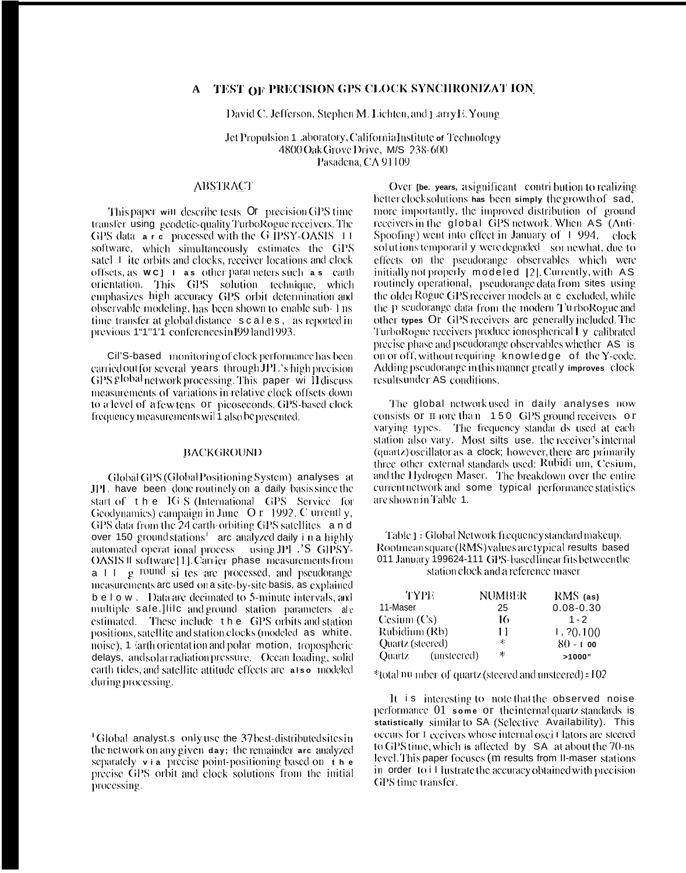# A TEST OF PRECISION GPS CLOCK SYNCHRONIZAT ION

David C. Jefferson, Stephen M. Lichten, and J arry E. Young

Jet Propulsion 1 .aboratory, California Institute of Technology 4800 Oak Grove Drive, M/S 238-600 Pasadena, CA 91109

## **ABSTRACT**

This paper will describe tests **Or** precision GPS time transfer using geodetic-quality TurboRogue receivers. The GPS data are processed with the G IPSY-OASIS 11 software, which simultaneously estimates the GPS satel 1 ite orbits and clocks, receiver locations and clock offsets, as **wc**] 1 as other parameters such as earth orientation. This GPS solution technique, which emphasizes high accuracy GPS orbit determination and observable modeling, has been shown to enable sub-1 ns time transfer at global distance scales, as reported in previous 1"1"1'1 conferences in 1991 and 1993.

Cil'S-based monitoring of clock performance has been carried out for several years through JPL's high precision GPS global network processing. This paper will discuss measurements of variations in relative clock offsets down to a level of a few tens or picoseconds. GPS-based clock frequency measurements wil 1 also be presented.

### **BACKGROUND**

Global GPS (Global Positioning System) analyses at JPL have been donc routinely on a daily basis since the start of the IG S (International GPS Service for Geodynamics) campaign in June O r 1992. C urrentl y, GPS data from the 24 earth-orbiting GPS satellites and over 150 ground stations<sup>1</sup> arc analyzed daily in a highly automated operat ional process using JPL .'S GIPSY-OASIS II software [1]. Carrier phase measurements from  $a + 1$  g round si tes are processed, and pseudorange measurements are used on a site-by-site basis, as explained b e l o w . Data are decimated to 5-minute intervals, and multiple sale.]Iilc and ground station parameters ale estimated. These include the GPS orbits and station positions, satellite and station clocks (modeled as white. noise), 1 larth orientation and polar motion, tropospheric delays, and solar radiation pressure. Ocean loading, solid earth tides, and satellite attitude effects are also modeled during processing.

<sup>1</sup>Global analyst.s only use the 37 best-distributed sites in the network on any given day; the remainder are analyzed separately  $v_i$  ia precise point-positioning based on  $t h e$ precise GPS orbit and clock solutions from the initial processing.

Over the years, asignificant contribution to realizing better clock solutions has been simply the growth of sad, more importantly, the improved distribution of ground receivers in the global GPS network. When AS (Anti-Spoofing) went into effect in January of  $\pm$  994, clock solutions temporarily were degraded sor newhat, due to effects on the pseudorange observables which were initially not properly modeled [2]. Currently, with AS routinely operational, pseudorange data from sites using the older Rogue GPS receiver models at c excluded, while the p seudorange data from the modern TurboRogue and other types Or GPS receivers are generally included. The TurboRogue receivers produce ionospherical I y calibrated precise phase and pseudorange observables whether AS is on or off, without requiring knowledge of the Y-code. Adding pseudorange in this manner greatly improves clock resultsunder AS conditions.

The global network used in daily analyses now consists or  $\pi$  forc than 150 GPS ground receivers or varying types. The frequency standar ds used at each station also vary. Most silts use, the receiver's internal (quartz) oscillator as a clock; however, there are primarily three other external standards used: Rubidi um, Cesium, and the Hydrogen Maser. The breakdown over the entire current network and some typical performance statistics are shown in Table 1.

Table 1: Global Network frequency standard makeup. Rootmeansquare (RMS) values are typical results based 011 January 199624-111 GPS-based linear fits between the station clock and a reference maser

| TYPE                    | NUMBER | $RMS$ (as)    |
|-------------------------|--------|---------------|
| 11-Maser                | 25     | $0.08 - 0.30$ |
| Cesium (Cs)             | 16     | $1 - 2$       |
| Rubidium (Rb)           | 11     | 1, ?(0, 1()() |
| Quartz (steered)        | ×.     | $80 - 100$    |
| (unsteered)<br>Ouartz – | ÷.     | >1000"        |

\*total nu mber of quartz (steered and unsteered) = 102

It is interesting to note that the observed noise performance 01 some or the internal quartz standards is statistically similar to SA (Selective Availability). This occurs for I eccivers whose internal osci I lators are steered to GPS time, which is affected by SA at about the 70-ns level. This paper focuses (m results from II-maser stations in order to illustrate the accuracy obtained with precision GPS time transfer.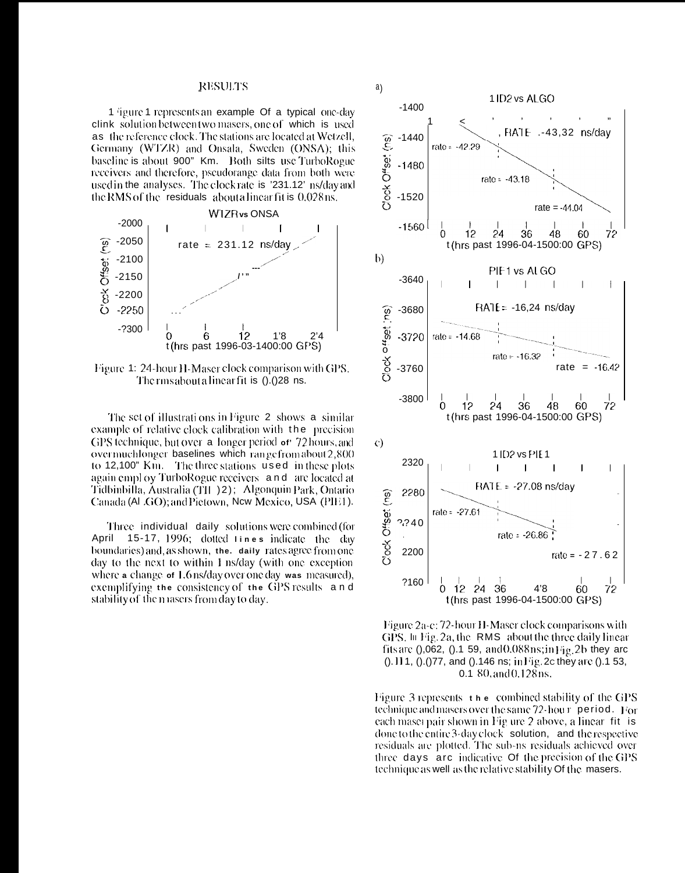#### **RESULTS**

1 figure 1 represents an example Of a typical one-day clink solution between two masers, one of which is used as the reference clock. The stations are located at Wetzell, Germany (WTZR) and Onsala, Sweden (ONSA); this baseline is about 900" Km. Both silts use TurboRogue receivers and therefore, pseudorange data from both were used in the analyses. The clock rate is '231.12' ns/day and the RMS of the residuals about a linear fit is 0.028 ns.



Figure 1: 24-hour H-Maser clock comparison with GPS. The rms about a linear fit is ().(28 ns.

The set of illustrations in Figure 2 shows a similar example of relative clock calibration with the precision GPS technique, but over a longer period or 72 hours, and overmuchlonger baselines which range from about 2,800 to 12,100" Km. The three stations used in these plots again employ TurboRogue receivers and are located at Tidbinbilla, Australia (TII-)2); Algonquin Park, Ontario Canada (ALGO); and Pietown, New Mexico, USA (PIE1).

Three individual daily solutions were combined (for April 15-17, 1996; dotted tines indicate the day boundaries) and, as shown, the. daily rates agree from one day to the next to within I ns/day (with one exception where a change of 1.6 ns/day over one day was measured), exemplifying the consistency of the GPS results and stability of the masers from day to day.



Figure 2a-c: 72-hour H-Maser clock comparisons with GPS. In Fig. 2a, the RMS about the three daily linear fits are  $(0.062, (0.159, and 0.088ns; in Fig. 2b)$  they are ().111, ().()77, and ().146 ns; in Fig. 2c they are ().1 53, 0.1 80, and 0.128 ns.

Figure 3 represents  $\pm$  h  $\pm$  combined stability of the GPS technique and masers over the same 72-hour period. For each maser pair shown in Fig ure 2 above, a linear fit is done to the entire 3-day clock solution, and the respective residuals are plotted. The sub-ns residuals achieved over three days are indicative Of the precision of the GPS technique as well as the relative stability Of the masers.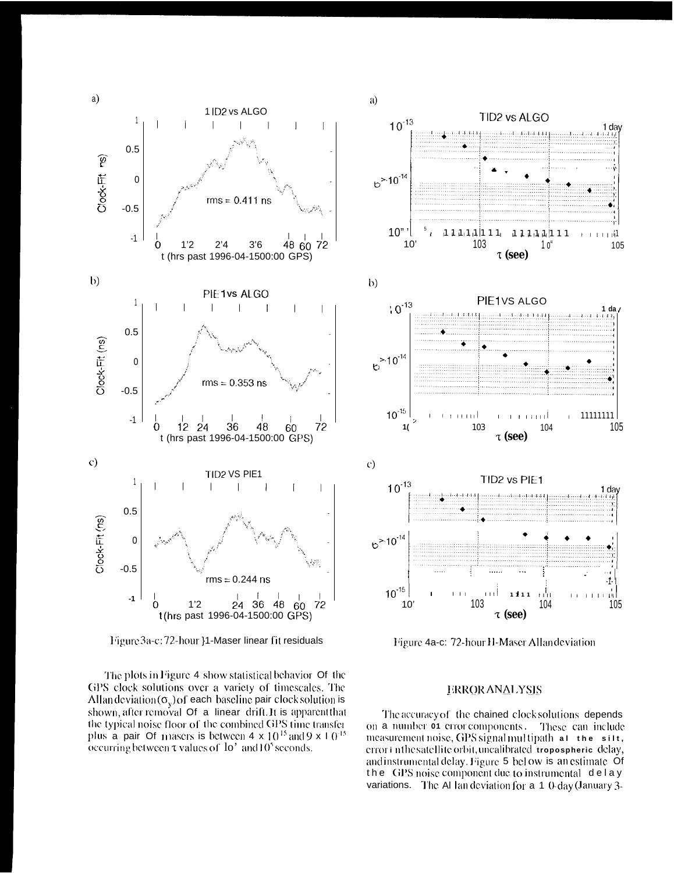

Figure 3a-c: 72-hour }1-Maser linear fit residuals

The plots in Figure 4 show statistical behavior Of the GPS clock solutions over a variety of timescales. The Allan deviation  $(\sigma_v)$  of each baseline pair clock solution is shown, after removal Of a linear drift. It is apparent that the typical noise floor of the combined GPS time transfer plus a pair Of masers is between  $4 \times 10^{15}$  and  $9 \times 10^{15}$ occurring between  $\tau$  values of  $10'$  and  $10'$  seconds.



Figure 4a-c: 72-hour H-Maser Allan deviation

# **ERROR ANALYSIS**

The accuracy of the chained clock solutions depends on a number of error components. These can include measurement noise, GPS signal multipath at the silt, error in the satellite orbit, uncalibrated tropospheric delay, and instrumental delay. Figure 5 below is an estimate Of the GPS noise component due to instrumental delay variations. The AI lan deviation for  $a \neq 0$  day (January 3-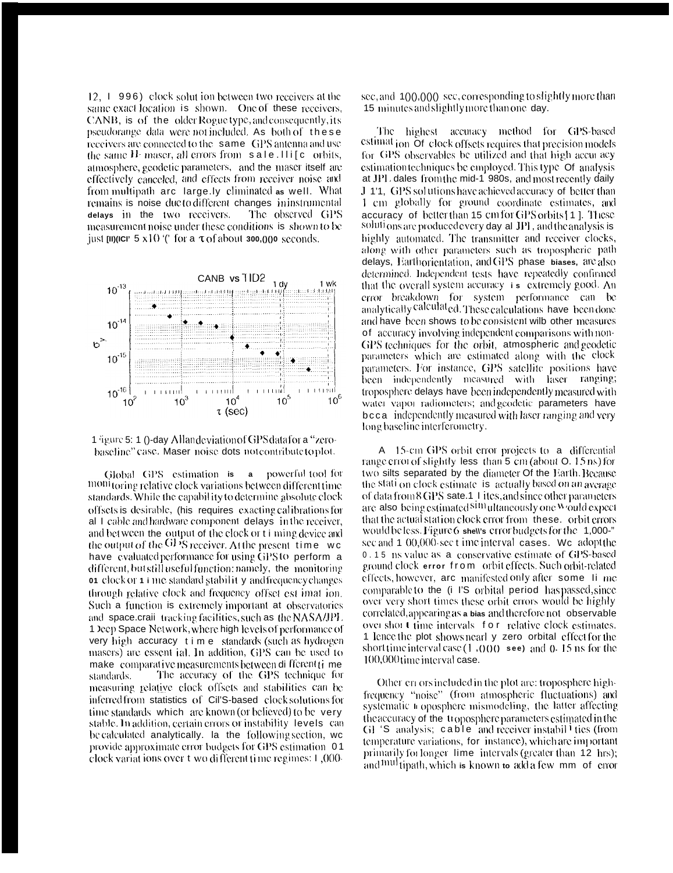12, 1 996) clock solut ion between two receivers at the same exact location is shown. One of these receivers, CANB, is of the older Rogue type, and consequently, its pseudorange data were not included. As both of these receivers are connected to the same GPS antenna and use the same  $H_1$  maser, all errors from  $\mathbf s$  ale. Ili[c orbits, atmosphere, geodetic parameters, and the maser itself are effectively canceled, and effects from receiver noise and from multipath arc large.ly climinated as well. What remains is noise ducto different changes ininstrumental delays in the two receivers. The observed GPS measurement noise under these conditions is shown to be just  $\mu$  (iii) (iii)  $\frac{1}{2}$  s x 10  $\frac{1}{2}$  for a  $\tau$  of about 300.() (i) 0 seconds.



1 jieure 5: 1 ()-day Allandeviation of GPS data for a "zerobaseline" case. Maser noise dots notcontribute to plot.

Global GPS estimation is a powerful tool for moni toring relative clock variations between different time standards. While the capability to determine absolute clock offsets is desirable. (his requires exacting calibrations for al 1 cable and hardware component delays in the receiver, and bet ween the output of the clock or t i ming device and the output of the GP'S receiver. At the present time we have evaluated performance for using GPS to perform a different, but still useful function: namely, the monitoring of clock or 1 i me standard stability and frequency changes through relative clock and frequency offset est imat ion. Such a function is extremely important at observatories and space.crail tracking facilities, such as the NASA/JPL 1 Deep Space Network, where high levels of performance of very high accuracy time standards (such as hydrogen masers) are essent ial. In addition, GPS can be used to make comparative measurements between different time standards. The accuracy of the GPS technique for measuring relative clock offsets and stabilities can be inferred from statistics of Cil'S-based clock solutions for time standards which are known (or believed) to be very stable. In addition, certain errors or instability levels can be calculated analytically. Ia the following section, wc provide approximate error budgets for GPS estimation 01 clock variations over t wo different time regimes: 1,000sec, and  $10(0,000)$  sec, corresponding to slightly more than 15 minutes and slightly more than one day.

The highest accuracy method for GPS-based estimat<sub>ion</sub> Of clock offsets requires that precision models for GPS observables be utilized and that high accur acy estimation techniques be employed. This type Of analysis at JPL dales from the mid-1 980s, and most recently daily J 1'1, GPS solutions have achieved accuracy of better than 1 cm globally for ground coordinate estimates, and accuracy of better than 15 cm for GPS orbits [1]. These solutions are produced every day all JPI, and the analysis is highly automated. The transmitter and receiver clocks, along with other parameters such as tropospheric path delays. Earthorientation, and GPS phase biases, are also determined. Independent tests have repeatedly confirmed that the overall system accuracy is extremely good. An error breakdown for system performance can be<br>analytically calculated. These calculations have been done and have been shows to be consistent wilb other measures of accuracy involving independent comparisons with non-GPS techniques for the orbit, atmospheric and geodetic parameters which are estimated along with the clock parameters. For instance, GPS satellite positions have been independently measured with laser ranging; troposphere delays have been independently measured with water vapor radiometers; and geodetic parameters have bcca independently measured with laser ranging and very long baseline interferometry.

A 15-cm GPS orbit error projects to a differential range error of slightly less than 5 cm (about 0.15 ns) for two silts separated by the diameter Of the Earth. Because the stati on clock estimate is actually based on an average of data from 8 GPS sate.1 1 ites, and since other parameters are also being estimated simultaneously one would expect that the actual station clock error from these. orbit errors would be less. Figure 6 shews error budgets for the 1,000-" sec and 1 00,000-sec t ime interval cases. We adopt the 0.15 ns value as a conservative estimate of GPS-based ground clock error from orbit effects. Such orbit-related effects, however, arc manifested only after some lime comparable to the (i I'S orbital period has passed, since over very short times these orbit errors would be highly correlated, appearing as a bias and therefore not observable over short time intervals for relative clock estimates. 1 lence the plot shows nearly zero orbital effect for the short time interval case  $(1,000)$  see) and 0.15 ns for the 100,000 time interval case.

Other errors included in the plot are: troposphere highfrequency "noise" (from atmospheric fluctuations) and systematic a oposphere mismodeling, the latter affecting the accuracy of the troposphere parameters estimated in the GI 'S analysis; cable and receiver instabil ties (from temperature variations, for instance), which are important primarily for longer lime intervals (greater than 12 hrs); and multipath, which is known to add a few mm of error